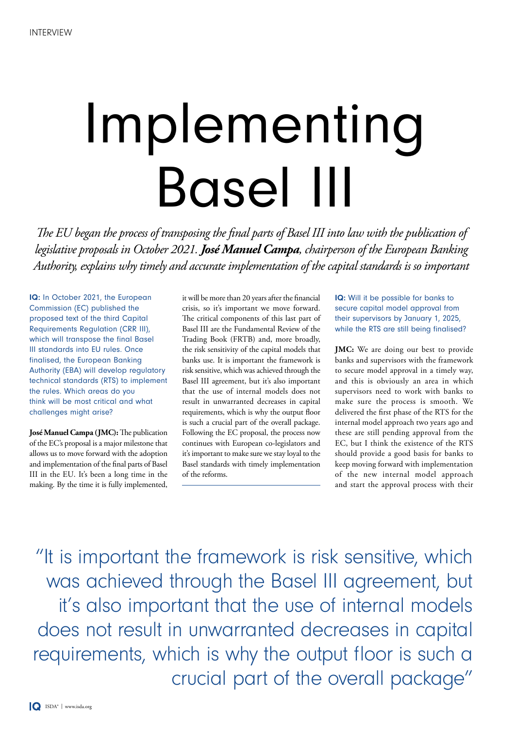## Implementing Basel III

*The EU began the process of transposing the final parts of Basel III into law with the publication of legislative proposals in October 2021. José Manuel Campa, chairperson of the European Banking Authority, explains why timely and accurate implementation of the capital standards is so important*

IQ: In October 2021, the European Commission (EC) published the proposed text of the third Capital Requirements Regulation (CRR III), which will transpose the final Basel III standards into EU rules. Once finalised, the European Banking Authority (EBA) will develop regulatory technical standards (RTS) to implement the rules. Which areas do you think will be most critical and what challenges might arise?

**José Manuel Campa (JMC):** The publication of the EC's proposal is a major milestone that allows us to move forward with the adoption and implementation of the final parts of Basel III in the EU. It's been a long time in the making. By the time it is fully implemented,

 $\overline{a}$ 

it will be more than 20 years after the financial crisis, so it's important we move forward. The critical components of this last part of Basel III are the Fundamental Review of the Trading Book (FRTB) and, more broadly, the risk sensitivity of the capital models that banks use. It is important the framework is risk sensitive, which was achieved through the Basel III agreement, but it's also important that the use of internal models does not result in unwarranted decreases in capital requirements, which is why the output floor is such a crucial part of the overall package. Following the EC proposal, the process now continues with European co-legislators and it's important to make sure we stay loyal to the Basel standards with timely implementation of the reforms.

IQ: Will it be possible for banks to secure capital model approval from their supervisors by January 1, 2025, while the RTS are still being finalised?

**JMC:** We are doing our best to provide banks and supervisors with the framework to secure model approval in a timely way, and this is obviously an area in which supervisors need to work with banks to make sure the process is smooth. We delivered the first phase of the RTS for the internal model approach two years ago and these are still pending approval from the EC, but I think the existence of the RTS should provide a good basis for banks to keep moving forward with implementation of the new internal model approach and start the approval process with their

"It is important the framework is risk sensitive, which was achieved through the Basel III agreement, but it's also important that the use of internal models does not result in unwarranted decreases in capital requirements, which is why the output floor is such a crucial part of the overall package"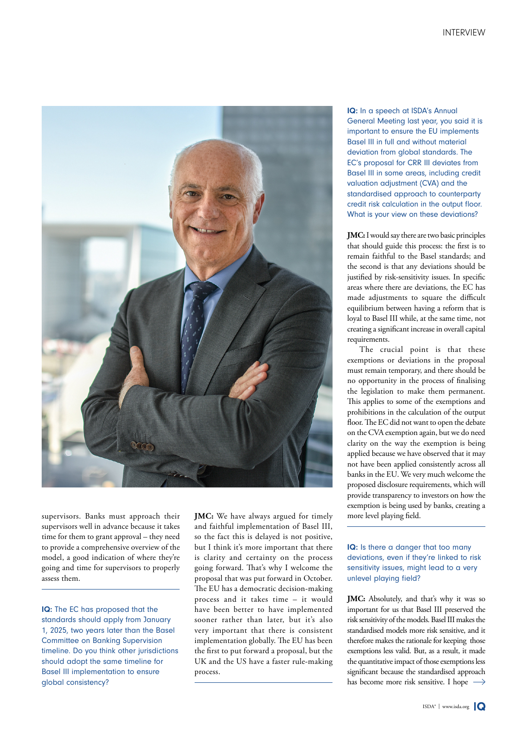

supervisors. Banks must approach their supervisors well in advance because it takes time for them to grant approval – they need to provide a comprehensive overview of the model, a good indication of where they're going and time for supervisors to properly assess them.

IQ: The EC has proposed that the standards should apply from January 1, 2025, two years later than the Basel Committee on Banking Supervision timeline. Do you think other jurisdictions should adopt the same timeline for Basel III implementation to ensure global consistency?

**JMC:** We have always argued for timely and faithful implementation of Basel III, so the fact this is delayed is not positive, but I think it's more important that there is clarity and certainty on the process going forward. That's why I welcome the proposal that was put forward in October. The EU has a democratic decision-making process and it takes time – it would have been better to have implemented sooner rather than later, but it's also very important that there is consistent implementation globally. The EU has been the first to put forward a proposal, but the UK and the US have a faster rule-making process.

IQ: In a speech at ISDA's Annual General Meeting last year, you said it is important to ensure the EU implements Basel III in full and without material deviation from global standards. The EC's proposal for CRR III deviates from Basel III in some areas, including credit valuation adjustment (CVA) and the standardised approach to counterparty credit risk calculation in the output floor. What is your view on these deviations?

**JMC:** I would say there are two basic principles that should guide this process: the first is to remain faithful to the Basel standards; and the second is that any deviations should be justified by risk-sensitivity issues. In specific areas where there are deviations, the EC has made adjustments to square the difficult equilibrium between having a reform that is loyal to Basel III while, at the same time, not creating a significant increase in overall capital requirements.

The crucial point is that these exemptions or deviations in the proposal must remain temporary, and there should be no opportunity in the process of finalising the legislation to make them permanent. This applies to some of the exemptions and prohibitions in the calculation of the output floor. The EC did not want to open the debate on the CVA exemption again, but we do need clarity on the way the exemption is being applied because we have observed that it may not have been applied consistently across all banks in the EU. We very much welcome the proposed disclosure requirements, which will provide transparency to investors on how the exemption is being used by banks, creating a more level playing field.

## IQ: Is there a danger that too many deviations, even if they're linked to risk sensitivity issues, might lead to a very unlevel playing field?

**JMC:** Absolutely, and that's why it was so important for us that Basel III preserved the risk sensitivity of the models. Basel III makes the standardised models more risk sensitive, and it therefore makes the rationale for keeping those exemptions less valid. But, as a result, it made the quantitative impact of those exemptions less significant because the standardised approach has become more risk sensitive. I hope  $\rightarrow$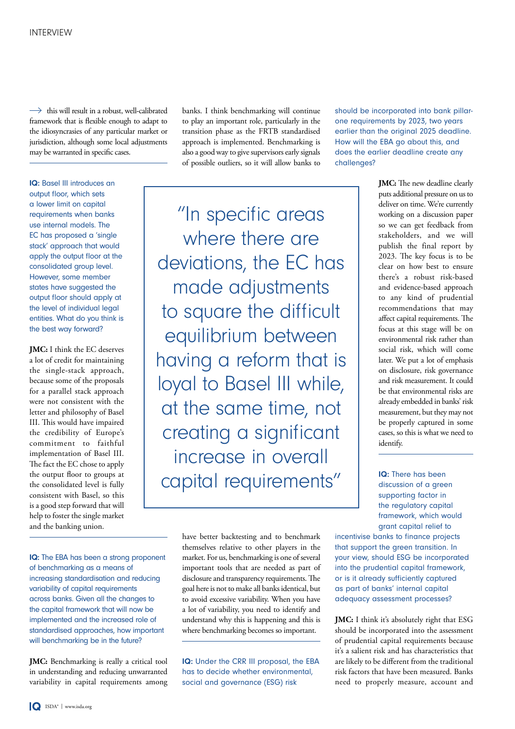$\rightarrow$  this will result in a robust, well-calibrated framework that is flexible enough to adapt to the idiosyncrasies of any particular market or jurisdiction, although some local adjustments may be warranted in specific cases.

IQ: Basel III introduces an output floor, which sets a lower limit on capital requirements when banks use internal models. The EC has proposed a 'single stack' approach that would apply the output floor at the consolidated group level. However, some member states have suggested the output floor should apply at the level of individual legal entities. What do you think is the best way forward?

**JMC:** I think the EC deserves a lot of credit for maintaining the single-stack approach, because some of the proposals for a parallel stack approach were not consistent with the letter and philosophy of Basel III. This would have impaired the credibility of Europe's commitment to faithful implementation of Basel III. The fact the EC chose to apply the output floor to groups at the consolidated level is fully consistent with Basel, so this is a good step forward that will help to foster the single market and the banking union.

IQ: The EBA has been a strong proponent of benchmarking as a means of increasing standardisation and reducing variability of capital requirements across banks. Given all the changes to the capital framework that will now be implemented and the increased role of standardised approaches, how important will benchmarking be in the future?

**JMC:** Benchmarking is really a critical tool in understanding and reducing unwarranted variability in capital requirements among banks. I think benchmarking will continue to play an important role, particularly in the transition phase as the FRTB standardised approach is implemented. Benchmarking is also a good way to give supervisors early signals of possible outliers, so it will allow banks to

"In specific areas where there are deviations, the EC has made adjustments to square the difficult equilibrium between having a reform that is loyal to Basel III while, at the same time, not creating a significant increase in overall capital requirements"

> have better backtesting and to benchmark themselves relative to other players in the market. For us, benchmarking is one of several important tools that are needed as part of disclosure and transparency requirements. The goal here is not to make all banks identical, but to avoid excessive variability. When you have a lot of variability, you need to identify and understand why this is happening and this is where benchmarking becomes so important.

> IQ: Under the CRR III proposal, the EBA has to decide whether environmental, social and governance (ESG) risk

should be incorporated into bank pillarone requirements by 2023, two years earlier than the original 2025 deadline. How will the EBA go about this, and does the earlier deadline create any challenges?

> **JMC:** The new deadline clearly puts additional pressure on us to deliver on time. We're currently working on a discussion paper so we can get feedback from stakeholders, and we will publish the final report by 2023. The key focus is to be clear on how best to ensure there's a robust risk-based and evidence-based approach to any kind of prudential recommendations that may affect capital requirements. The focus at this stage will be on environmental risk rather than social risk, which will come later. We put a lot of emphasis on disclosure, risk governance and risk measurement. It could be that environmental risks are already embedded in banks' risk measurement, but they may not be properly captured in some cases, so this is what we need to identify.

IQ: There has been discussion of a green supporting factor in the regulatory capital framework, which would grant capital relief to

incentivise banks to finance projects that support the green transition. In your view, should ESG be incorporated into the prudential capital framework, or is it already sufficiently captured as part of banks' internal capital adequacy assessment processes?

**JMC:** I think it's absolutely right that ESG should be incorporated into the assessment of prudential capital requirements because it's a salient risk and has characteristics that are likely to be different from the traditional risk factors that have been measured. Banks need to properly measure, account and